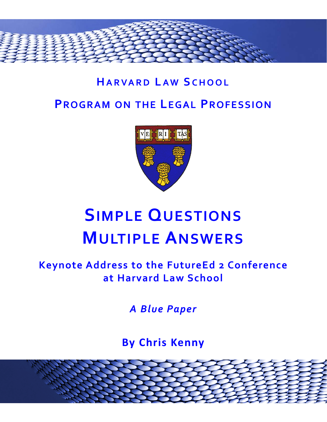

## **HARVARD LAW S CHOOL PROGRAM ON THE LEGAL PROFESSION**



# **SIMPLE QUESTIONS MULTIPLE ANSWERS**

### **Keynote Address to the FutureEd 2 Conference at Harvard Law School**

*A Blue Paper*

**By Chris Kenny**

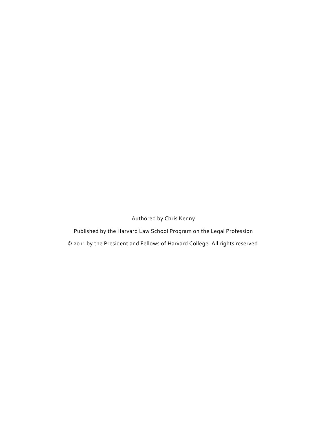Authored by Chris Kenny

Published by the Harvard Law School Program on the Legal Profession

© 2011 by the President and Fellows of Harvard College. All rights reserved.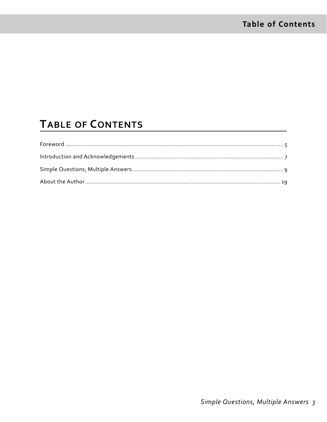### **TABLE OF CONTENTS**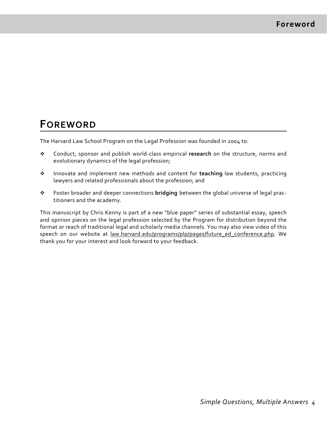### **FOREWORD**

The Harvard Law School Program on the Legal Profession was founded in 2004 to:

- Conduct, sponsor and publish world‐class empirical **research** on the structure, norms and evolutionary dynamics of the legal profession;
- Innovate and implement new methods and content for **teaching** law students, practicing lawyers and related professionals about the profession; and
- Foster broader and deeper connections **bridging** between the global universe of legal prac‐ titioners and the academy.

This manuscript by Chris Kenny is part of a new "blue paper" series of substantial essay, speech and opinion pieces on the legal profession selected by the Program for distribution beyond the format or reach of traditional legal and scholarly media channels. You may also view video of this speech on our website at law.harvard.edu/programs/plp/pages/future\_ed\_conference.php. We thank you for your interest and look forward to your feedback.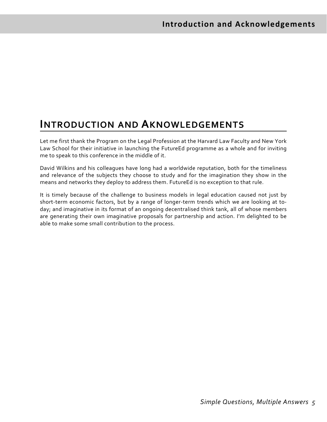### **INTRODUCTION AND AKNOWLEDGEMENTS**

Let me first thank the Program on the Legal Profession at the Harvard Law Faculty and New York Law School for their initiative in launching the FutureEd programme as a whole and for inviting me to speak to this conference in the middle of it.

David Wilkins and his colleagues have long had a worldwide reputation, both for the timeliness and relevance of the subjects they choose to study and for the imagination they show in the means and networks they deploy to address them. FutureEd is no exception to that rule.

It is timely because of the challenge to business models in legal education caused not just by short-term economic factors, but by a range of longer-term trends which we are looking at today; and imaginative in its format of an ongoing decentralised think tank, all of whose members are generating their own imaginative proposals for partnership and action. I'm delighted to be able to make some small contribution to the process.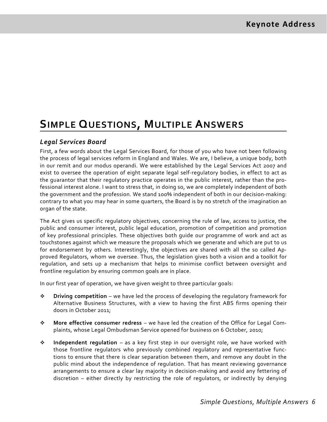### **SIMPLE QUESTIONS, MULTIPLE ANSWERS**

#### *Legal Services Board*

First, a few words about the Legal Services Board, for those of you who have not been following the process of legal services reform in England and Wales. We are, I believe, a unique body, both in our remit and our modus operandi. We were established by the Legal Services Act 2007 and exist to oversee the operation of eight separate legal self-regulatory bodies, in effect to act as the guarantor that their regulatory practice operates in the public interest, rather than the pro‐ fessional interest alone. I want to stress that, in doing so, we are completely independent of both the government and the profession. We stand 100% independent of both in our decision-making: contrary to what you may hear in some quarters, the Board is by no stretch of the imagination an organ of the state.

The Act gives us specific regulatory objectives, concerning the rule of law, access to justice, the public and consumer interest, public legal education, promotion of competition and promotion of key professional principles. These objectives both guide our programme of work and act as touchstones against which we measure the proposals which we generate and which are put to us for endorsement by others. Interestingly, the objectives are shared with all the so called Ap‐ proved Regulators, whom we oversee. Thus, the legislation gives both a vision and a toolkit for regulation, and sets up a mechanism that helps to minimise conflict between oversight and frontline regulation by ensuring common goals are in place.

In our first year of operation, we have given weight to three particular goals:

- **Driving competition** we have led the process of developing the regulatory framework for Alternative Business Structures, with a view to having the first ABS firms opening their doors in October 2011;
- **More effective consumer redress** we have led the creation of the Office for Legal Com‐ plaints, whose Legal Ombudsman Service opened for business on 6 October, 2010;
- **Independent regulation** as a key first step in our oversight role, we have worked with those frontline regulators who previously combined regulatory and representative func‐ tions to ensure that there is clear separation between them, and remove any doubt in the public mind about the independence of regulation. That has meant reviewing governance arrangements to ensure a clear lay majority in decision‐making and avoid any fettering of discretion – either directly by restricting the role of regulators, or indirectly by denying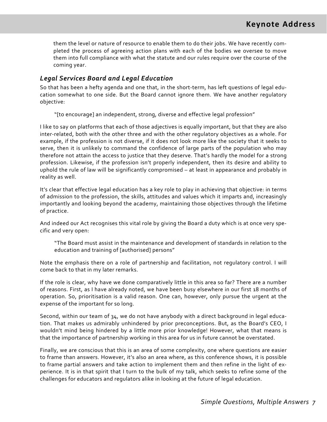them the level or nature of resource to enable them to do their jobs. We have recently com‐ pleted the process of agreeing action plans with each of the bodies we oversee to move them into full compliance with what the statute and our rules require over the course of the coming year.

#### *Legal Services Board and Legal Education*

So that has been a hefty agenda and one that, in the short‐term, has left questions of legal edu‐ cation somewhat to one side. But the Board cannot ignore them. We have another regulatory objective:

"[to encourage] an independent, strong, diverse and effective legal profession"

I like to say on platforms that each of those adjectives is equally important, but that they are also inter-related, both with the other three and with the other regulatory objectives as a whole. For example, if the profession is not diverse, if it does not look more like the society that it seeks to serve, then it is unlikely to command the confidence of large parts of the population who may therefore not attain the access to justice that they deserve. That's hardly the model for a strong profession. Likewise, if the profession isn't properly independent, then its desire and ability to uphold the rule of law will be significantly compromised – at least in appearance and probably in reality as well.

It's clear that effective legal education has a key role to play in achieving that objective: in terms of admission to the profession, the skills, attitudes and values which it imparts and, increasingly importantly and looking beyond the academy, maintaining those objectives through the lifetime of practice.

And indeed our Act recognises this vital role by giving the Board a duty which is at once very spe‐ cific and very open:

"The Board must assist in the maintenance and development of standards in relation to the education and training of [authorised] persons"

Note the emphasis there on a role of partnership and facilitation, not regulatory control. I will come back to that in my later remarks.

If the role is clear, why have we done comparatively little in this area so far? There are a number of reasons. First, as I have already noted, we have been busy elsewhere in our first 18 months of operation. So, prioritisation is a valid reason. One can, however, only pursue the urgent at the expense of the important for so long.

Second, within our team of 34, we do not have anybody with a direct background in legal educa‐ tion. That makes us admirably unhindered by prior preconceptions. But, as the Board's CEO, I wouldn't mind being hindered by a little more prior knowledge! However, what that means is that the importance of partnership working in this area for us in future cannot be overstated.

Finally, we are conscious that this is an area of some complexity, one where questions are easier to frame than answers. However, it's also an area where, as this conference shows, it is possible to frame partial answers and take action to implement them and then refine in the light of ex‐ perience. It is in that spirit that I turn to the bulk of my talk, which seeks to refine some of the challenges for educators and regulators alike in looking at the future of legal education.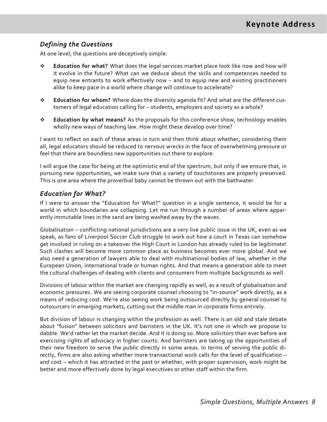#### *Defining the Questions*

At one level, the questions are deceptively simple:

- **Education for what?** What does the legal services market place look like now and how will it evolve in the future? What can we deduce about the skills and competences needed to equip new entrants to work effectively now – and to equip new and existing practitioners alike to keep pace in a world where change will continue to accelerate?
- **Education for whom?** Where does the diversity agenda fit? And what are the different cus‐ tomers of legal education calling for – students, employers and society as a whole?
- **Education by what means?** As the proposals for this conference show, technology enables wholly new ways of teaching law. How might these develop over time?

I want to reflect on each of these areas in turn and then think about whether, considering them all, legal educators should be reduced to nervous wrecks in the face of overwhelming pressure or feel that there are boundless new opportunities out there to explore.

I will argue the case for being at the optimistic end of the spectrum, but only if we ensure that, in pursuing new opportunities, we make sure that a variety of touchstones are properly preserved. This is one area where the proverbial baby cannot be thrown out with the bathwater.

#### *Education for What?*

If I were to answer the "Education for What?" question in a single sentence, it would be for a world in which boundaries are collapsing. Let me run through a number of areas where appar‐ ently immutable lines in the sand are being washed away by the waves.

Globalisation – conflicting national jurisdictions are a very live public issue in the UK, even as we speak, as fans of Liverpool Soccer Club struggle to work out how a court in Texas can somehow get involved in ruling on a takeover the High Court in London has already ruled to be legitimate! Such clashes will become more common place as business becomes ever more global. And we also need a generation of lawyers able to deal with multinational bodies of law, whether in the European Union, international trade or human rights. And that means a generation able to meet the cultural challenges of dealing with clients and consumers from multiple backgrounds as well.

Divisions of labour within the market are changing rapidly as well, as a result of globalisation and economic pressures. We are seeing corporate counsel choosing to "in-source" work directly, as a means of reducing cost. We're also seeing work being outsourced directly by general counsel to outsourcers in emerging markets, cutting out the middle man in corporate firms entirely.

But division of labour is changing within the profession as well. There is an old and stale debate about "fusion" between solicitors and barristers in the UK. It's not one in which we propose to dabble. We'd rather let the market decide. And it is doing so. More solicitors than ever before are exercising rights of advocacy in higher courts. And barristers are taking up the opportunities of their new freedom to serve the public directly in some areas. In terms of serving the public di‐ rectly, firms are also asking whether more transactional work calls for the level of qualification – and cost – which it has attracted in the past or whether, with proper supervision, work might be better and more effectively done by legal executives or other staff within the firm.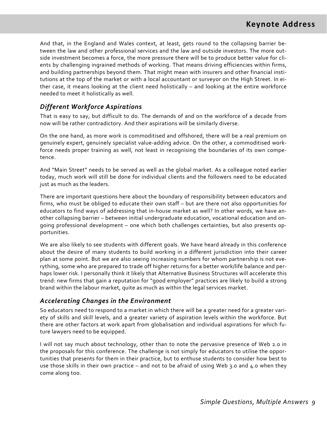And that, in the England and Wales context, at least, gets round to the collapsing barrier be‐ tween the law and other professional services and the law and outside investors. The more out‐ side investment becomes a force, the more pressure there will be to produce better value for cli‐ ents by challenging ingrained methods of working. That means driving efficiencies within firms, and building partnerships beyond them. That might mean with insurers and other financial institutions at the top of the market or with a local accountant or surveyor on the High Street. In ei‐ ther case, it means looking at the client need holistically – and looking at the entire workforce needed to meet it holistically as well.

#### *Different Workforce Aspirations*

That is easy to say, but difficult to do. The demands of and on the workforce of a decade from now will be rather contradictory. And their aspirations will be similarly diverse.

On the one hand, as more work is commoditised and offshored, there will be a real premium on genuinely expert, genuinely specialist value‐adding advice. On the other, a commoditised work‐ force needs proper training as well, not least in recognising the boundaries of its own competence.

And "Main Street" needs to be served as well as the global market. As a colleague noted earlier today, much work will still be done for individual clients and the followers need to be educated just as much as the leaders.

There are important questions here about the boundary of responsibility between educators and firms, who must be obliged to educate their own staff – but are there not also opportunities for educators to find ways of addressing that in‐house market as well? In other words, we have an‐ other collapsing barrier – between initial undergraduate education, vocational education and on‐ going professional development – one which both challenges certainties, but also presents op‐ portunities.

We are also likely to see students with different goals. We have heard already in this conference about the desire of many students to build working in a different jurisdiction into their career plan at some point. But we are also seeing increasing numbers for whom partnership is not eve‐ rything, some who are prepared to trade off higher returns for a better work/life balance and per‐ haps lower risk. I personally think it likely that Alternative Business Structures will accelerate this trend: new firms that gain a reputation for "good employer" practices are likely to build a strong brand within the labour market, quite as much as within the legal services market.

#### *Accelerating Changes in the Environment*

So educators need to respond to a market in which there will be a greater need for a greater vari‐ ety of skills and skill levels, and a greater variety of aspiration levels within the workforce. But there are other factors at work apart from globalisation and individual aspirations for which fu‐ ture lawyers need to be equipped.

I will not say much about technology, other than to note the pervasive presence of Web 2.0 in the proposals for this conference. The challenge is not simply for educators to utilise the oppor‐ tunities that presents for them in their practice, but to enthuse students to consider how best to use those skills in their own practice – and not to be afraid of using Web 3.0 and 4.0 when they come along too.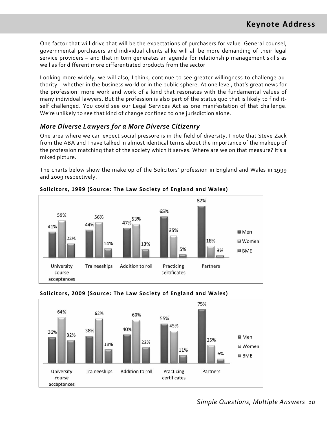One factor that will drive that will be the expectations of purchasers for value. General counsel, governmental purchasers and individual clients alike will all be more demanding of their legal service providers – and that in turn generates an agenda for relationship management skills as well as for different more differentiated products from the sector.

Looking more widely, we will also, I think, continue to see greater willingness to challenge au‐ thority – whether in the business world or in the public sphere. At one level, that's great news for the profession: more work and work of a kind that resonates with the fundamental values of many individual lawyers. But the profession is also part of the status quo that is likely to find it‐ self challenged. You could see our Legal Services Act as one manifestation of that challenge. We're unlikely to see that kind of change confined to one jurisdiction alone.

#### *More Diverse Lawyers for a More Diverse Citizenry*

One area where we can expect social pressure is in the field of diversity. I note that Steve Zack from the ABA and I have talked in almost identical terms about the importance of the makeup of the profession matching that of the society which it serves. Where are we on that measure? It's a mixed picture.

The charts below show the make up of the Solicitors' profession in England and Wales in 1999 and 2009 respectively.



**Solicitors, 1999 (Source: The Law Society o f England and Wales)**

#### **Solicitors, 2009 (Source: The Law Society o f England and Wales)**

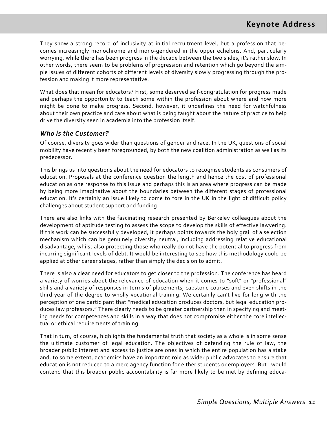They show a strong record of inclusivity at initial recruitment level, but a profession that be‐ comes increasingly monochrome and mono‐gendered in the upper echelons. And, particularly worrying, while there has been progress in the decade between the two slides, it's rather slow. In other words, there seem to be problems of progression and retention which go beyond the sim‐ ple issues of different cohorts of different levels of diversity slowly progressing through the pro‐ fession and making it more representative.

What does that mean for educators? First, some deserved self‐congratulation for progress made and perhaps the opportunity to teach some within the profession about where and how more might be done to make progress. Second, however, it underlines the need for watchfulness about their own practice and care about what is being taught about the nature of practice to help drive the diversity seen in academia into the profession itself.

#### *Who is the Customer?*

Of course, diversity goes wider than questions of gender and race. In the UK, questions of social mobility have recently been foregrounded, by both the new coalition administration as well as its predecessor.

This brings us into questions about the need for educators to recognise students as consumers of education. Proposals at the conference question the length and hence the cost of professional education as one response to this issue and perhaps this is an area where progress can be made by being more imaginative about the boundaries between the different stages of professional education. It's certainly an issue likely to come to fore in the UK in the light of difficult policy challenges about student support and funding.

There are also links with the fascinating research presented by Berkeley colleagues about the development of aptitude testing to assess the scope to develop the skills of effective lawyering. If this work can be successfully developed, it perhaps points towards the holy grail of a selection mechanism which can be genuinely diversity neutral, including addressing relative educational disadvantage, whilst also protecting those who really do not have the potential to progress from incurring significant levels of debt. It would be interesting to see how this methodology could be applied at other career stages, rather than simply the decision to admit.

There is also a clear need for educators to get closer to the profession. The conference has heard a variety of worries about the relevance of education when it comes to "soft" or "professional" skills and a variety of responses in terms of placements, capstone courses and even shifts in the third year of the degree to wholly vocational training. We certainly can't live for long with the perception of one participant that "medical education produces doctors, but legal education pro‐ duces law professors." There clearly needs to be greater partnership then in specifying and meet‐ ing needs for competences and skills in a way that does not compromise either the core intellec‐ tual or ethical requirements of training.

That in turn, of course, highlights the fundamental truth that society as a whole is in some sense the ultimate customer of legal education. The objectives of defending the rule of law, the broader public interest and access to justice are ones in which the entire population has a stake and, to some extent, academics have an important role as wider public advocates to ensure that education is not reduced to a mere agency function for either students or employers. But I would contend that this broader public accountability is far more likely to be met by defining educa‐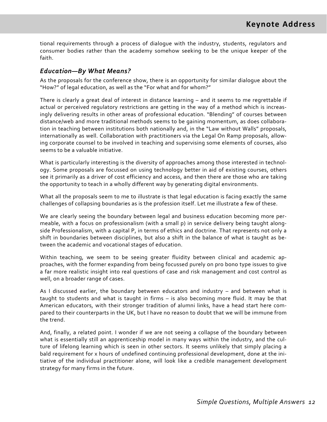tional requirements through a process of dialogue with the industry, students, regulators and consumer bodies rather than the academy somehow seeking to be the unique keeper of the faith.

#### *Education—By What Means?*

As the proposals for the conference show, there is an opportunity for similar dialogue about the "How?" of legal education, as well as the "For what and for whom?"

There is clearly a great deal of interest in distance learning – and it seems to me regrettable if actual or perceived regulatory restrictions are getting in the way of a method which is increas‐ ingly delivering results in other areas of professional education. "Blending" of courses between distance/web and more traditional methods seems to be gaining momentum, as does collabora‐ tion in teaching between institutions both nationally and, in the "Law without Walls" proposals, internationally as well. Collaboration with practitioners via the Legal On Ramp proposals, allow‐ ing corporate counsel to be involved in teaching and supervising some elements of courses, also seems to be a valuable initiative.

What is particularly interesting is the diversity of approaches among those interested in technol‐ ogy. Some proposals are focussed on using technology better in aid of existing courses, others see it primarily as a driver of cost efficiency and access, and then there are those who are taking the opportunity to teach in a wholly different way by generating digital environments.

What all the proposals seem to me to illustrate is that legal education is facing exactly the same challenges of collapsing boundaries as is the profession itself. Let me illustrate a few of these.

We are clearly seeing the boundary between legal and business education becoming more per‐ meable, with a focus on professionalism (with a small p) in service delivery being taught alongside Professionalism, with a capital P, in terms of ethics and doctrine. That represents not only a shift in boundaries between disciplines, but also a shift in the balance of what is taught as be‐ tween the academic and vocational stages of education.

Within teaching, we seem to be seeing greater fluidity between clinical and academic approaches, with the former expanding from being focussed purely on pro bono type issues to give a far more realistic insight into real questions of case and risk management and cost control as well, on a broader range of cases.

As I discussed earlier, the boundary between educators and industry – and between what is taught to students and what is taught in firms – is also becoming more fluid. It may be that American educators, with their stronger tradition of alumni links, have a head start here com‐ pared to their counterparts in the UK, but I have no reason to doubt that we will be immune from the trend.

And, finally, a related point. I wonder if we are not seeing a collapse of the boundary between what is essentially still an apprenticeship model in many ways within the industry, and the culture of lifelong learning which is seen in other sectors. It seems unlikely that simply placing a bald requirement for x hours of undefined continuing professional development, done at the ini‐ tiative of the individual practitioner alone, will look like a credible management development strategy for many firms in the future.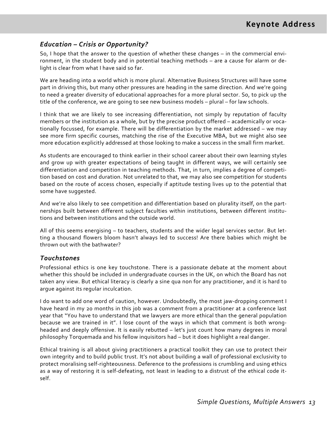#### *Education – Crisis or Opportunity?*

So, I hope that the answer to the question of whether these changes – in the commercial envi‐ ronment, in the student body and in potential teaching methods – are a cause for alarm or de‐ light is clear from what I have said so far.

We are heading into a world which is more plural. Alternative Business Structures will have some part in driving this, but many other pressures are heading in the same direction. And we're going to need a greater diversity of educational approaches for a more plural sector. So, to pick up the title of the conference, we are going to see new business models – plural – for law schools.

I think that we are likely to see increasing differentiation, not simply by reputation of faculty members or the institution as a whole, but by the precise product offered – academically or vocationally focussed, for example. There will be differentiation by the market addressed – we may see more firm specific courses, matching the rise of the Executive MBA, but we might also see more education explicitly addressed at those looking to make a success in the small firm market.

As students are encouraged to think earlier in their school career about their own learning styles and grow up with greater expectations of being taught in different ways, we will certainly see differentiation and competition in teaching methods. That, in turn, implies a degree of competition based on cost and duration. Not unrelated to that, we may also see competition for students based on the route of access chosen, especially if aptitude testing lives up to the potential that some have suggested.

And we're also likely to see competition and differentiation based on plurality itself, on the part‐ nerships built between different subject faculties within institutions, between different institu‐ tions and between institutions and the outside world.

All of this seems energising – to teachers, students and the wider legal services sector. But let‐ ting a thousand flowers bloom hasn't always led to success! Are there babies which might be thrown out with the bathwater?

#### *Touchstones*

Professional ethics is one key touchstone. There is a passionate debate at the moment about whether this should be included in undergraduate courses in the UK, on which the Board has not taken any view. But ethical literacy is clearly a sine qua non for any practitioner, and it is hard to argue against its regular inculcation.

I do want to add one word of caution, however. Undoubtedly, the most jaw-dropping comment I have heard in my 20 months in this job was a comment from a practitioner at a conference last year that "You have to understand that we lawyers are more ethical than the general population because we are trained in it". I lose count of the ways in which that comment is both wrongheaded and deeply offensive. It is easily rebutted – let's just count how many degrees in moral philosophy Torquemada and his fellow inquisitors had – but it does highlight a real danger.

Ethical training is all about giving practitioners a practical toolkit they can use to protect their own integrity and to build public trust. It's not about building a wall of professional exclusivity to protect moralising self‐righteousness. Deference to the professions is crumbling and using ethics as a way of restoring it is self-defeating, not least in leading to a distrust of the ethical code itself.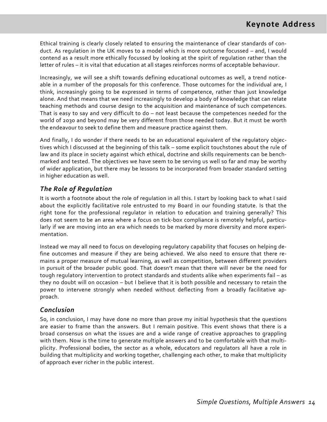Ethical training is clearly closely related to ensuring the maintenance of clear standards of con‐ duct. As regulation in the UK moves to a model which is more outcome focussed – and, I would contend as a result more ethically focussed by looking at the spirit of regulation rather than the letter of rules – it is vital that education at all stages reinforces norms of acceptable behaviour.

Increasingly, we will see a shift towards defining educational outcomes as well, a trend notice‐ able in a number of the proposals for this conference. Those outcomes for the individual are, I think, increasingly going to be expressed in terms of competence, rather than just knowledge alone. And that means that we need increasingly to develop a body of knowledge that can relate teaching methods and course design to the acquisition and maintenance of such competences. That is easy to say and very difficult to do – not least because the competences needed for the world of 2030 and beyond may be very different from those needed today. But it must be worth the endeavour to seek to define them and measure practice against them.

And finally, I do wonder if there needs to be an educational equivalent of the regulatory objec‐ tives which I discussed at the beginning of this talk – some explicit touchstones about the rule of law and its place in society against which ethical, doctrine and skills requirements can be benchmarked and tested. The objectives we have seem to be serving us well so far and may be worthy of wider application, but there may be lessons to be incorporated from broader standard setting in higher education as well.

#### *The Role of Regulation*

It is worth a footnote about the role of regulation in all this. I start by looking back to what I said about the explicitly facilitative role entrusted to my Board in our founding statute. Is that the right tone for the professional regulator in relation to education and training generally? This does not seem to be an area where a focus on tick-box compliance is remotely helpful, particularly if we are moving into an era which needs to be marked by more diversity and more experimentation.

Instead we may all need to focus on developing regulatory capability that focuses on helping de‐ fine outcomes and measure if they are being achieved. We also need to ensure that there re‐ mains a proper measure of mutual learning, as well as competition, between different providers in pursuit of the broader public good. That doesn't mean that there will never be the need for tough regulatory intervention to protect standards and students alike when experiments fail – as they no doubt will on occasion – but I believe that it is both possible and necessary to retain the power to intervene strongly when needed without deflecting from a broadly facilitative approach.

#### *Conclusion*

So, in conclusion, I may have done no more than prove my initial hypothesis that the questions are easier to frame than the answers. But I remain positive. This event shows that there is a broad consensus on what the issues are and a wide range of creative approaches to grappling with them. Now is the time to generate multiple answers and to be comfortable with that multiplicity. Professional bodies, the sector as a whole, educators and regulators all have a role in building that multiplicity and working together, challenging each other, to make that multiplicity of approach ever richer in the public interest.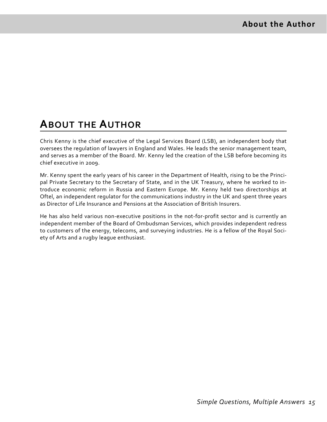### **ABOUT THE AUTHOR**

Chris Kenny is the chief executive of the Legal Services Board (LSB), an independent body that oversees the regulation of lawyers in England and Wales. He leads the senior management team, and serves as a member of the Board. Mr. Kenny led the creation of the LSB before becoming its chief executive in 2009.

Mr. Kenny spent the early years of his career in the Department of Health, rising to be the Principal Private Secretary to the Secretary of State, and in the UK Treasury, where he worked to introduce economic reform in Russia and Eastern Europe. Mr. Kenny held two directorships at Oftel, an independent regulator for the communications industry in the UK and spent three years as Director of Life Insurance and Pensions at the Association of British Insurers.

He has also held various non-executive positions in the not-for-profit sector and is currently an independent member of the Board of Ombudsman Services, which provides independent redress to customers of the energy, telecoms, and surveying industries. He is a fellow of the Royal Soci‐ ety of Arts and a rugby league enthusiast.